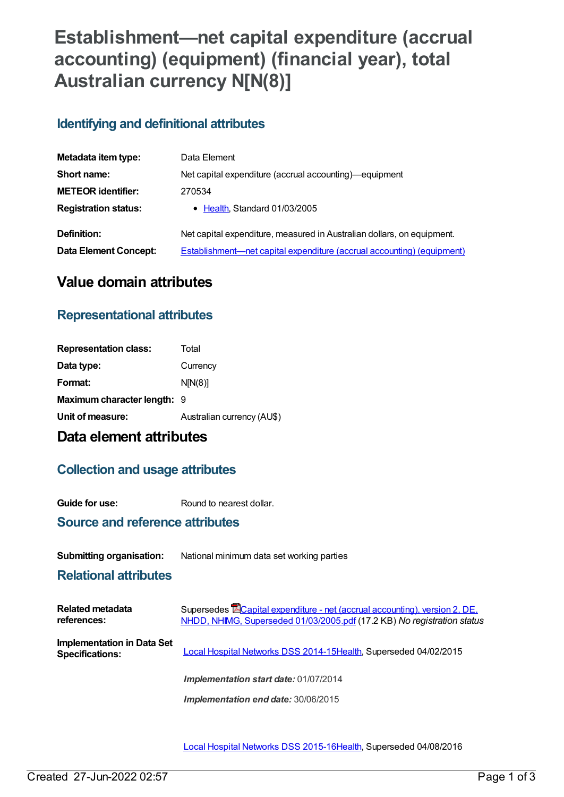# **Establishment—net capital expenditure (accrual accounting) (equipment) (financial year), total Australian currency N[N(8)]**

#### **Identifying and definitional attributes**

| Metadata item type:         | Data Element                                                           |
|-----------------------------|------------------------------------------------------------------------|
| Short name:                 | Net capital expenditure (accrual accounting)—equipment                 |
| <b>METEOR identifier:</b>   | 270534                                                                 |
| <b>Registration status:</b> | • Health, Standard 01/03/2005                                          |
| Definition:                 | Net capital expenditure, measured in Australian dollars, on equipment. |
| Data Element Concept:       | Establishment-net capital expenditure (accrual accounting) (equipment) |

## **Value domain attributes**

### **Representational attributes**

| Total                              |
|------------------------------------|
| Currency                           |
| N[N(8)]                            |
| <b>Maximum character length: 9</b> |
| Australian currency (AU\$)         |
|                                    |

### **Data element attributes**

#### **Collection and usage attributes**

**Guide for use:** Round to nearest dollar.

#### **Source and reference attributes**

#### **Submitting organisation:** National minimum data set working parties

#### **Relational attributes**

| Related metadata<br>references:                      | Supersedes <b>E</b> Capital expenditure - net (accrual accounting), version 2, DE,<br>NHDD, NHIMG, Superseded 01/03/2005.pdf (17.2 KB) No registration status |
|------------------------------------------------------|---------------------------------------------------------------------------------------------------------------------------------------------------------------|
| Implementation in Data Set<br><b>Specifications:</b> | Local Hospital Networks DSS 2014-15Health, Superseded 04/02/2015                                                                                              |
|                                                      | Implementation start date: 01/07/2014                                                                                                                         |
|                                                      | Implementation end date: 30/06/2015                                                                                                                           |

Local Hospital [Networks](https://meteor.aihw.gov.au/content/600241) DSS 2015-16[Health,](https://meteor.aihw.gov.au/RegistrationAuthority/12) Superseded 04/08/2016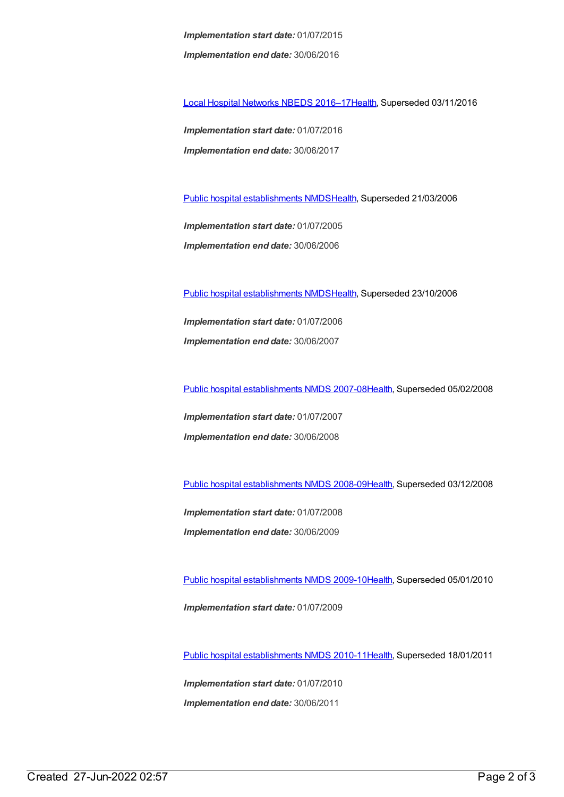*Implementation start date:* 01/07/2015 *Implementation end date:* 30/06/2016

Local Hospital [Networks](https://meteor.aihw.gov.au/content/618892) NBEDS 2016–1[7Health](https://meteor.aihw.gov.au/RegistrationAuthority/12), Superseded 03/11/2016

*Implementation start date:* 01/07/2016 *Implementation end date:* 30/06/2017

Public hospital [establishments](https://meteor.aihw.gov.au/content/273047) NMDS[Health](https://meteor.aihw.gov.au/RegistrationAuthority/12), Superseded 21/03/2006

*Implementation start date:* 01/07/2005 *Implementation end date:* 30/06/2006

Public hospital [establishments](https://meteor.aihw.gov.au/content/334285) NMDS[Health](https://meteor.aihw.gov.au/RegistrationAuthority/12), Superseded 23/10/2006

*Implementation start date:* 01/07/2006 *Implementation end date:* 30/06/2007

Public hospital [establishments](https://meteor.aihw.gov.au/content/345139) NMDS 2007-08[Health](https://meteor.aihw.gov.au/RegistrationAuthority/12), Superseded 05/02/2008

*Implementation start date:* 01/07/2007 *Implementation end date:* 30/06/2008

Public hospital [establishments](https://meteor.aihw.gov.au/content/362302) NMDS 2008-09[Health](https://meteor.aihw.gov.au/RegistrationAuthority/12), Superseded 03/12/2008

*Implementation start date:* 01/07/2008 *Implementation end date:* 30/06/2009

Public hospital [establishments](https://meteor.aihw.gov.au/content/374924) NMDS 2009-10[Health](https://meteor.aihw.gov.au/RegistrationAuthority/12), Superseded 05/01/2010 *Implementation start date:* 01/07/2009

Public hospital [establishments](https://meteor.aihw.gov.au/content/386794) NMDS 2010-11[Health](https://meteor.aihw.gov.au/RegistrationAuthority/12), Superseded 18/01/2011

*Implementation start date:* 01/07/2010 *Implementation end date:* 30/06/2011